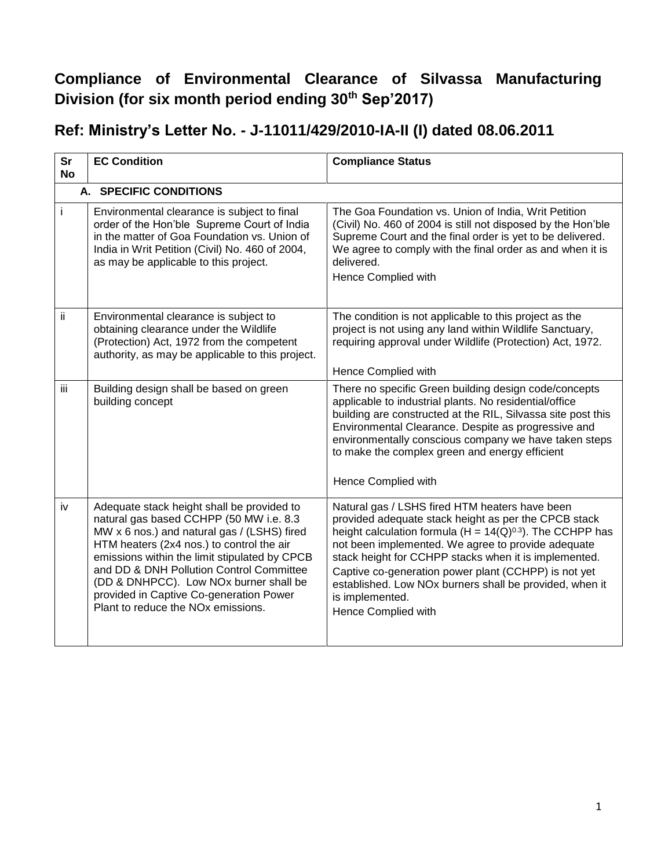## **Compliance of Environmental Clearance of Silvassa Manufacturing Division (for six month period ending 30th Sep'2017)**

## **Ref: Ministry's Letter No. - J-11011/429/2010-IA-II (I) dated 08.06.2011**

| Sr<br><b>No</b> | <b>EC Condition</b>                                                                                                                                                                                                                                                                                                                                                                                                   | <b>Compliance Status</b>                                                                                                                                                                                                                                                                                                                                                                                                                             |
|-----------------|-----------------------------------------------------------------------------------------------------------------------------------------------------------------------------------------------------------------------------------------------------------------------------------------------------------------------------------------------------------------------------------------------------------------------|------------------------------------------------------------------------------------------------------------------------------------------------------------------------------------------------------------------------------------------------------------------------------------------------------------------------------------------------------------------------------------------------------------------------------------------------------|
|                 | A. SPECIFIC CONDITIONS                                                                                                                                                                                                                                                                                                                                                                                                |                                                                                                                                                                                                                                                                                                                                                                                                                                                      |
| İ.              | Environmental clearance is subject to final<br>order of the Hon'ble Supreme Court of India<br>in the matter of Goa Foundation vs. Union of<br>India in Writ Petition (Civil) No. 460 of 2004,<br>as may be applicable to this project.                                                                                                                                                                                | The Goa Foundation vs. Union of India, Writ Petition<br>(Civil) No. 460 of 2004 is still not disposed by the Hon'ble<br>Supreme Court and the final order is yet to be delivered.<br>We agree to comply with the final order as and when it is<br>delivered.<br>Hence Complied with                                                                                                                                                                  |
| ii.             | Environmental clearance is subject to<br>obtaining clearance under the Wildlife<br>(Protection) Act, 1972 from the competent<br>authority, as may be applicable to this project.                                                                                                                                                                                                                                      | The condition is not applicable to this project as the<br>project is not using any land within Wildlife Sanctuary,<br>requiring approval under Wildlife (Protection) Act, 1972.<br>Hence Complied with                                                                                                                                                                                                                                               |
| iii.            | Building design shall be based on green<br>building concept                                                                                                                                                                                                                                                                                                                                                           | There no specific Green building design code/concepts<br>applicable to industrial plants. No residential/office<br>building are constructed at the RIL, Silvassa site post this<br>Environmental Clearance. Despite as progressive and<br>environmentally conscious company we have taken steps<br>to make the complex green and energy efficient<br>Hence Complied with                                                                             |
| iv              | Adequate stack height shall be provided to<br>natural gas based CCHPP (50 MW i.e. 8.3<br>MW x 6 nos.) and natural gas / (LSHS) fired<br>HTM heaters (2x4 nos.) to control the air<br>emissions within the limit stipulated by CPCB<br>and DD & DNH Pollution Control Committee<br>(DD & DNHPCC). Low NOx burner shall be<br>provided in Captive Co-generation Power<br>Plant to reduce the NO <sub>x</sub> emissions. | Natural gas / LSHS fired HTM heaters have been<br>provided adequate stack height as per the CPCB stack<br>height calculation formula (H = $14(Q)^{0.3}$ ). The CCHPP has<br>not been implemented. We agree to provide adequate<br>stack height for CCHPP stacks when it is implemented.<br>Captive co-generation power plant (CCHPP) is not yet<br>established. Low NOx burners shall be provided, when it<br>is implemented.<br>Hence Complied with |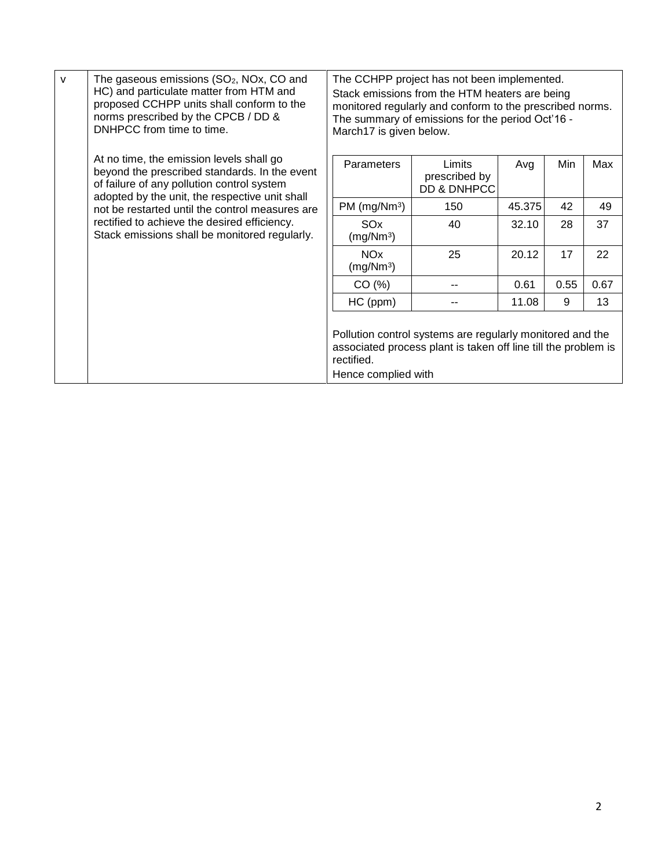| $\mathsf{v}$ | The gaseous emissions (SO <sub>2</sub> , NO <sub>x</sub> , CO and<br>HC) and particulate matter from HTM and<br>proposed CCHPP units shall conform to the<br>norms prescribed by the CPCB / DD &<br>DNHPCC from time to time. | March17 is given below.                                                                                                     | The CCHPP project has not been implemented.<br>Stack emissions from the HTM heaters are being<br>monitored regularly and conform to the prescribed norms.<br>The summary of emissions for the period Oct'16 - |        |      |      |
|--------------|-------------------------------------------------------------------------------------------------------------------------------------------------------------------------------------------------------------------------------|-----------------------------------------------------------------------------------------------------------------------------|---------------------------------------------------------------------------------------------------------------------------------------------------------------------------------------------------------------|--------|------|------|
|              | At no time, the emission levels shall go<br>beyond the prescribed standards. In the event<br>of failure of any pollution control system<br>adopted by the unit, the respective unit shall                                     | Parameters                                                                                                                  | Limits<br>prescribed by<br>DD & DNHPCC                                                                                                                                                                        | Avg    | Min  | Max  |
|              | not be restarted until the control measures are<br>rectified to achieve the desired efficiency.<br>Stack emissions shall be monitored regularly.                                                                              | PM (mg/Nm <sup>3</sup> )                                                                                                    | 150                                                                                                                                                                                                           | 45.375 | 42   | 49   |
|              |                                                                                                                                                                                                                               | SO <sub>x</sub><br>(mg/Nm <sup>3</sup> )                                                                                    | 40                                                                                                                                                                                                            | 32.10  | 28   | 37   |
|              |                                                                                                                                                                                                                               | <b>NO<sub>x</sub></b><br>(mg/Nm <sup>3</sup> )                                                                              | 25                                                                                                                                                                                                            | 20.12  | 17   | 22   |
|              |                                                                                                                                                                                                                               | CO(%)                                                                                                                       |                                                                                                                                                                                                               | 0.61   | 0.55 | 0.67 |
|              |                                                                                                                                                                                                                               | HC (ppm)                                                                                                                    |                                                                                                                                                                                                               | 11.08  | 9    | 13   |
|              | rectified.<br>Hence complied with                                                                                                                                                                                             | Pollution control systems are regularly monitored and the<br>associated process plant is taken off line till the problem is |                                                                                                                                                                                                               |        |      |      |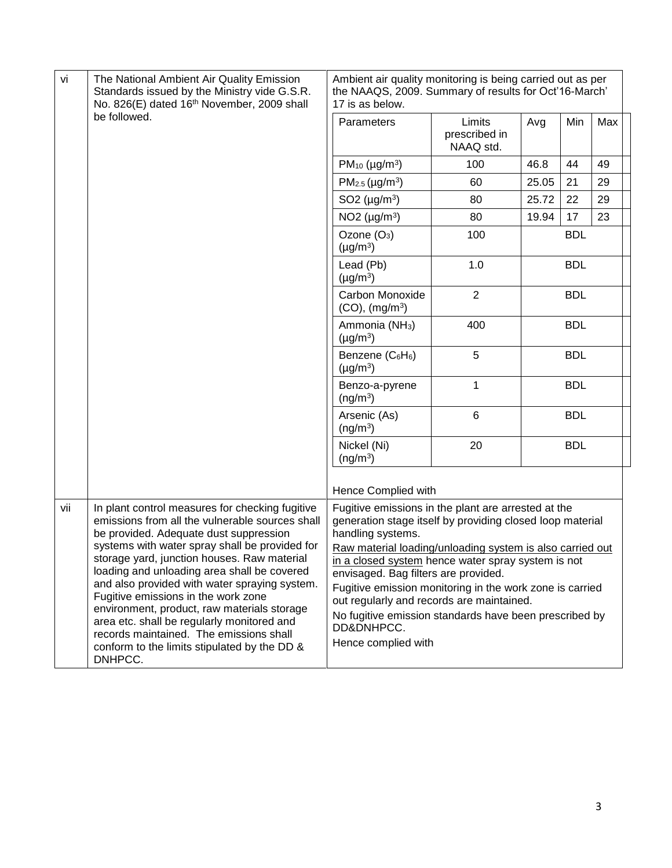| vi  | The National Ambient Air Quality Emission<br>Standards issued by the Ministry vide G.S.R.<br>No. 826(E) dated 16th November, 2009 shall                                                                                                                                                                                                                                                                                                                                                                                                                                      | Ambient air quality monitoring is being carried out as per<br>the NAAQS, 2009. Summary of results for Oct'16-March'<br>17 is as below.                                                                                                                                                                                                                                                                                                                                                                   |                                      |            |            |     |
|-----|------------------------------------------------------------------------------------------------------------------------------------------------------------------------------------------------------------------------------------------------------------------------------------------------------------------------------------------------------------------------------------------------------------------------------------------------------------------------------------------------------------------------------------------------------------------------------|----------------------------------------------------------------------------------------------------------------------------------------------------------------------------------------------------------------------------------------------------------------------------------------------------------------------------------------------------------------------------------------------------------------------------------------------------------------------------------------------------------|--------------------------------------|------------|------------|-----|
|     | be followed.                                                                                                                                                                                                                                                                                                                                                                                                                                                                                                                                                                 | Parameters                                                                                                                                                                                                                                                                                                                                                                                                                                                                                               | Limits<br>prescribed in<br>NAAQ std. | Avg        | Min        | Max |
|     |                                                                                                                                                                                                                                                                                                                                                                                                                                                                                                                                                                              | $PM_{10}$ (µg/m <sup>3</sup> )                                                                                                                                                                                                                                                                                                                                                                                                                                                                           | 100                                  | 46.8       | 44         | 49  |
|     |                                                                                                                                                                                                                                                                                                                                                                                                                                                                                                                                                                              | $PM_{2.5}$ (µg/m <sup>3</sup> )                                                                                                                                                                                                                                                                                                                                                                                                                                                                          | 60                                   | 25.05      | 21         | 29  |
|     |                                                                                                                                                                                                                                                                                                                                                                                                                                                                                                                                                                              | SO2 $(\mu g/m^3)$                                                                                                                                                                                                                                                                                                                                                                                                                                                                                        | 80                                   | 25.72      | 22         | 29  |
|     |                                                                                                                                                                                                                                                                                                                                                                                                                                                                                                                                                                              | NO <sub>2</sub> ( $\mu$ g/m <sup>3</sup> )                                                                                                                                                                                                                                                                                                                                                                                                                                                               | 80                                   | 19.94      | 17         | 23  |
|     |                                                                                                                                                                                                                                                                                                                                                                                                                                                                                                                                                                              | Ozone (O <sub>3</sub> )<br>$(\mu g/m^3)$                                                                                                                                                                                                                                                                                                                                                                                                                                                                 | 100                                  |            | <b>BDL</b> |     |
|     |                                                                                                                                                                                                                                                                                                                                                                                                                                                                                                                                                                              | Lead (Pb)<br>$(\mu g/m^3)$                                                                                                                                                                                                                                                                                                                                                                                                                                                                               | 1.0                                  |            | <b>BDL</b> |     |
|     |                                                                                                                                                                                                                                                                                                                                                                                                                                                                                                                                                                              | Carbon Monoxide<br>$(CO)$ , $(mg/m3)$                                                                                                                                                                                                                                                                                                                                                                                                                                                                    | $\overline{2}$                       |            | <b>BDL</b> |     |
|     |                                                                                                                                                                                                                                                                                                                                                                                                                                                                                                                                                                              | Ammonia (NH <sub>3</sub> )<br>$(\mu g/m^3)$                                                                                                                                                                                                                                                                                                                                                                                                                                                              | 400                                  | <b>BDL</b> |            |     |
|     |                                                                                                                                                                                                                                                                                                                                                                                                                                                                                                                                                                              | Benzene (C6H6)<br>$(\mu g/m^3)$                                                                                                                                                                                                                                                                                                                                                                                                                                                                          | 5                                    |            | <b>BDL</b> |     |
|     |                                                                                                                                                                                                                                                                                                                                                                                                                                                                                                                                                                              | Benzo-a-pyrene<br>(ng/m <sup>3</sup> )                                                                                                                                                                                                                                                                                                                                                                                                                                                                   | 1                                    |            | <b>BDL</b> |     |
|     |                                                                                                                                                                                                                                                                                                                                                                                                                                                                                                                                                                              | Arsenic (As)<br>(ng/m <sup>3</sup> )                                                                                                                                                                                                                                                                                                                                                                                                                                                                     | $6\phantom{1}6$                      |            | <b>BDL</b> |     |
|     |                                                                                                                                                                                                                                                                                                                                                                                                                                                                                                                                                                              | Nickel (Ni)<br>(ng/m <sup>3</sup> )                                                                                                                                                                                                                                                                                                                                                                                                                                                                      | 20                                   |            | <b>BDL</b> |     |
|     |                                                                                                                                                                                                                                                                                                                                                                                                                                                                                                                                                                              | Hence Complied with                                                                                                                                                                                                                                                                                                                                                                                                                                                                                      |                                      |            |            |     |
| vii | In plant control measures for checking fugitive<br>emissions from all the vulnerable sources shall<br>be provided. Adequate dust suppression<br>systems with water spray shall be provided for<br>storage yard, junction houses. Raw material<br>loading and unloading area shall be covered<br>and also provided with water spraying system.<br>Fugitive emissions in the work zone<br>environment, product, raw materials storage<br>area etc. shall be regularly monitored and<br>records maintained. The emissions shall<br>conform to the limits stipulated by the DD & | Fugitive emissions in the plant are arrested at the<br>generation stage itself by providing closed loop material<br>handling systems.<br>Raw material loading/unloading system is also carried out<br>in a closed system hence water spray system is not<br>envisaged. Bag filters are provided.<br>Fugitive emission monitoring in the work zone is carried<br>out regularly and records are maintained.<br>No fugitive emission standards have been prescribed by<br>DD&DNHPCC.<br>Hence complied with |                                      |            |            |     |
|     | DNHPCC.                                                                                                                                                                                                                                                                                                                                                                                                                                                                                                                                                                      |                                                                                                                                                                                                                                                                                                                                                                                                                                                                                                          |                                      |            |            |     |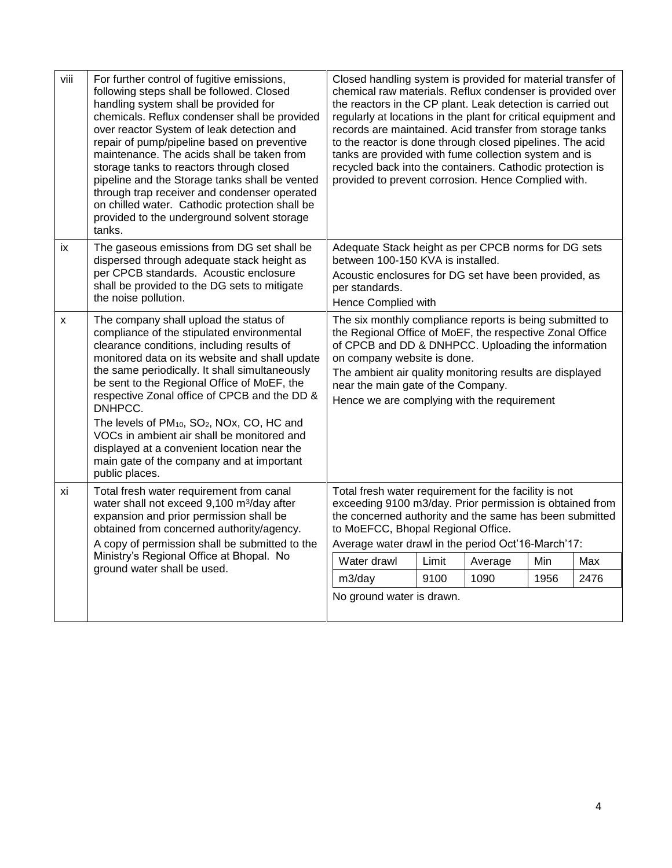| viii | For further control of fugitive emissions,<br>following steps shall be followed. Closed<br>handling system shall be provided for<br>chemicals. Reflux condenser shall be provided<br>over reactor System of leak detection and<br>repair of pump/pipeline based on preventive<br>maintenance. The acids shall be taken from<br>storage tanks to reactors through closed<br>pipeline and the Storage tanks shall be vented<br>through trap receiver and condenser operated<br>on chilled water. Cathodic protection shall be<br>provided to the underground solvent storage<br>tanks. | Closed handling system is provided for material transfer of<br>chemical raw materials. Reflux condenser is provided over<br>the reactors in the CP plant. Leak detection is carried out<br>regularly at locations in the plant for critical equipment and<br>records are maintained. Acid transfer from storage tanks<br>to the reactor is done through closed pipelines. The acid<br>tanks are provided with fume collection system and is<br>recycled back into the containers. Cathodic protection is<br>provided to prevent corrosion. Hence Complied with. |       |         |      |      |
|------|--------------------------------------------------------------------------------------------------------------------------------------------------------------------------------------------------------------------------------------------------------------------------------------------------------------------------------------------------------------------------------------------------------------------------------------------------------------------------------------------------------------------------------------------------------------------------------------|-----------------------------------------------------------------------------------------------------------------------------------------------------------------------------------------------------------------------------------------------------------------------------------------------------------------------------------------------------------------------------------------------------------------------------------------------------------------------------------------------------------------------------------------------------------------|-------|---------|------|------|
| iх   | The gaseous emissions from DG set shall be<br>dispersed through adequate stack height as<br>per CPCB standards. Acoustic enclosure<br>shall be provided to the DG sets to mitigate<br>the noise pollution.                                                                                                                                                                                                                                                                                                                                                                           | Adequate Stack height as per CPCB norms for DG sets<br>between 100-150 KVA is installed.<br>Acoustic enclosures for DG set have been provided, as<br>per standards.<br>Hence Complied with                                                                                                                                                                                                                                                                                                                                                                      |       |         |      |      |
| X    | The company shall upload the status of<br>compliance of the stipulated environmental<br>clearance conditions, including results of<br>monitored data on its website and shall update<br>the same periodically. It shall simultaneously<br>be sent to the Regional Office of MoEF, the<br>respective Zonal office of CPCB and the DD &<br>DNHPCC.<br>The levels of PM <sub>10</sub> , SO <sub>2</sub> , NOx, CO, HC and<br>VOCs in ambient air shall be monitored and<br>displayed at a convenient location near the<br>main gate of the company and at important<br>public places.   | The six monthly compliance reports is being submitted to<br>the Regional Office of MoEF, the respective Zonal Office<br>of CPCB and DD & DNHPCC. Uploading the information<br>on company website is done.<br>The ambient air quality monitoring results are displayed<br>near the main gate of the Company.<br>Hence we are complying with the requirement                                                                                                                                                                                                      |       |         |      |      |
| хi   | Total fresh water requirement from canal<br>water shall not exceed 9,100 m <sup>3</sup> /day after<br>expansion and prior permission shall be<br>obtained from concerned authority/agency.<br>A copy of permission shall be submitted to the                                                                                                                                                                                                                                                                                                                                         | Total fresh water requirement for the facility is not<br>exceeding 9100 m3/day. Prior permission is obtained from<br>the concerned authority and the same has been submitted<br>to MoEFCC, Bhopal Regional Office.<br>Average water drawl in the period Oct'16-March'17:                                                                                                                                                                                                                                                                                        |       |         |      |      |
|      | Ministry's Regional Office at Bhopal. No<br>ground water shall be used.                                                                                                                                                                                                                                                                                                                                                                                                                                                                                                              | Water drawl                                                                                                                                                                                                                                                                                                                                                                                                                                                                                                                                                     | Limit | Average | Min  | Max  |
|      |                                                                                                                                                                                                                                                                                                                                                                                                                                                                                                                                                                                      | m3/day                                                                                                                                                                                                                                                                                                                                                                                                                                                                                                                                                          | 9100  | 1090    | 1956 | 2476 |
|      |                                                                                                                                                                                                                                                                                                                                                                                                                                                                                                                                                                                      | No ground water is drawn.                                                                                                                                                                                                                                                                                                                                                                                                                                                                                                                                       |       |         |      |      |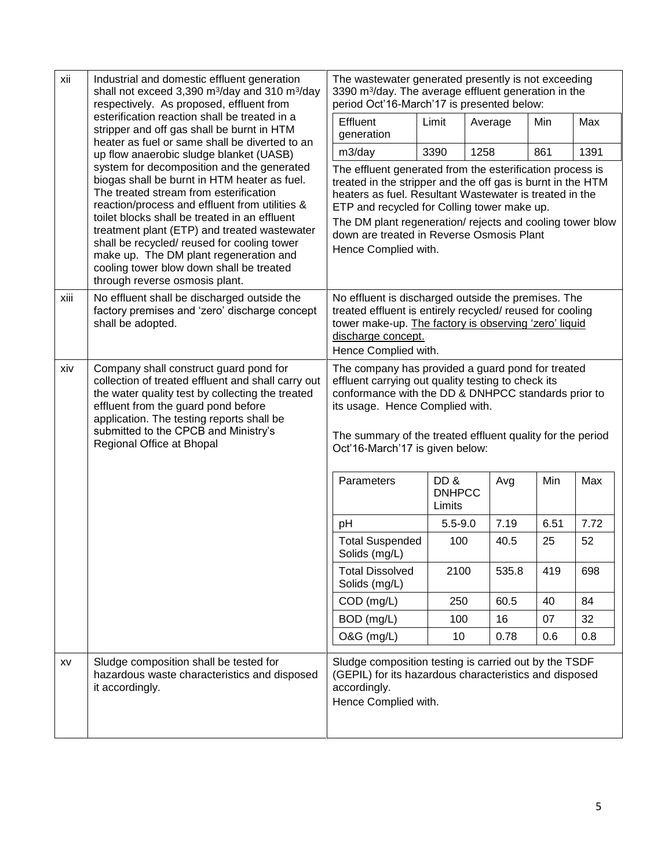| xii  | Industrial and domestic effluent generation<br>shall not exceed 3,390 m <sup>3</sup> /day and 310 m <sup>3</sup> /day<br>respectively. As proposed, effluent from                                                                                                                                                                                                                                                                                              | The wastewater generated presently is not exceeding<br>3390 m <sup>3</sup> /day. The average effluent generation in the<br>period Oct'16-March'17 is presented below:                                                                                                                                                                                               |                                |         |       |      |      |
|------|----------------------------------------------------------------------------------------------------------------------------------------------------------------------------------------------------------------------------------------------------------------------------------------------------------------------------------------------------------------------------------------------------------------------------------------------------------------|---------------------------------------------------------------------------------------------------------------------------------------------------------------------------------------------------------------------------------------------------------------------------------------------------------------------------------------------------------------------|--------------------------------|---------|-------|------|------|
|      | esterification reaction shall be treated in a<br>stripper and off gas shall be burnt in HTM<br>heater as fuel or same shall be diverted to an                                                                                                                                                                                                                                                                                                                  | Effluent<br>generation                                                                                                                                                                                                                                                                                                                                              | Limit                          | Average |       | Min  | Max  |
|      | up flow anaerobic sludge blanket (UASB)                                                                                                                                                                                                                                                                                                                                                                                                                        | m3/day                                                                                                                                                                                                                                                                                                                                                              | 3390                           | 1258    |       | 861  | 1391 |
|      | system for decomposition and the generated<br>biogas shall be burnt in HTM heater as fuel.<br>The treated stream from esterification<br>reaction/process and effluent from utilities &<br>toilet blocks shall be treated in an effluent<br>treatment plant (ETP) and treated wastewater<br>shall be recycled/ reused for cooling tower<br>make up. The DM plant regeneration and<br>cooling tower blow down shall be treated<br>through reverse osmosis plant. | The effluent generated from the esterification process is<br>treated in the stripper and the off gas is burnt in the HTM<br>heaters as fuel. Resultant Wastewater is treated in the<br>ETP and recycled for Colling tower make up.<br>The DM plant regeneration/rejects and cooling tower blow<br>down are treated in Reverse Osmosis Plant<br>Hence Complied with. |                                |         |       |      |      |
| xiii | No effluent shall be discharged outside the<br>factory premises and 'zero' discharge concept<br>shall be adopted.                                                                                                                                                                                                                                                                                                                                              | No effluent is discharged outside the premises. The<br>treated effluent is entirely recycled/ reused for cooling<br>tower make-up. The factory is observing 'zero' liquid<br>discharge concept.<br>Hence Complied with.                                                                                                                                             |                                |         |       |      |      |
| xiv  | Company shall construct guard pond for<br>collection of treated effluent and shall carry out<br>the water quality test by collecting the treated<br>effluent from the guard pond before<br>application. The testing reports shall be<br>submitted to the CPCB and Ministry's<br>Regional Office at Bhopal                                                                                                                                                      | The company has provided a guard pond for treated<br>effluent carrying out quality testing to check its<br>conformance with the DD & DNHPCC standards prior to<br>its usage. Hence Complied with.<br>The summary of the treated effluent quality for the period<br>Oct'16-March'17 is given below:                                                                  |                                |         |       |      |      |
|      |                                                                                                                                                                                                                                                                                                                                                                                                                                                                | Parameters                                                                                                                                                                                                                                                                                                                                                          | DD&<br><b>DNHPCC</b><br>Limits |         | Avg   | Min  | Max  |
|      |                                                                                                                                                                                                                                                                                                                                                                                                                                                                | pH                                                                                                                                                                                                                                                                                                                                                                  | $5.5 - 9.0$                    |         | 7.19  | 6.51 | 7.72 |
|      |                                                                                                                                                                                                                                                                                                                                                                                                                                                                | <b>Total Suspended</b><br>Solids (mg/L)                                                                                                                                                                                                                                                                                                                             | 100                            |         | 40.5  | 25   | 52   |
|      |                                                                                                                                                                                                                                                                                                                                                                                                                                                                | <b>Total Dissolved</b><br>Solids (mg/L)                                                                                                                                                                                                                                                                                                                             | 2100                           |         | 535.8 | 419  | 698  |
|      |                                                                                                                                                                                                                                                                                                                                                                                                                                                                | COD (mg/L)                                                                                                                                                                                                                                                                                                                                                          | 250                            |         | 60.5  | 40   | 84   |
|      |                                                                                                                                                                                                                                                                                                                                                                                                                                                                | BOD (mg/L)                                                                                                                                                                                                                                                                                                                                                          | 100                            |         | 16    | 07   | 32   |
|      |                                                                                                                                                                                                                                                                                                                                                                                                                                                                | O&G (mg/L)                                                                                                                                                                                                                                                                                                                                                          | 10 <sup>1</sup>                |         | 0.78  | 0.6  | 0.8  |
| XV   | Sludge composition shall be tested for<br>hazardous waste characteristics and disposed<br>it accordingly.                                                                                                                                                                                                                                                                                                                                                      | Sludge composition testing is carried out by the TSDF<br>(GEPIL) for its hazardous characteristics and disposed<br>accordingly.<br>Hence Complied with.                                                                                                                                                                                                             |                                |         |       |      |      |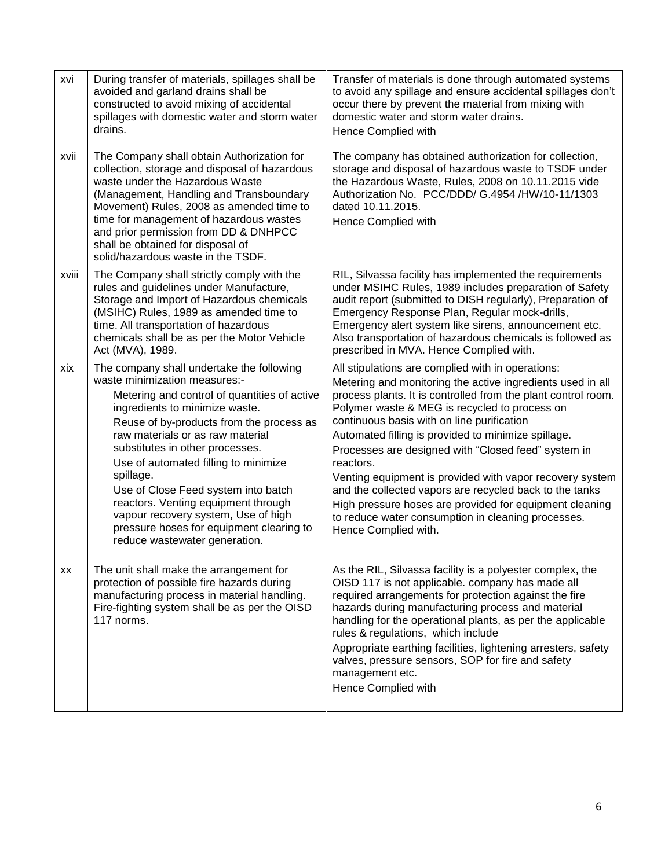| xvi   | During transfer of materials, spillages shall be<br>avoided and garland drains shall be<br>constructed to avoid mixing of accidental<br>spillages with domestic water and storm water<br>drains.                                                                                                                                                                                                                                                                                                                                       | Transfer of materials is done through automated systems<br>to avoid any spillage and ensure accidental spillages don't<br>occur there by prevent the material from mixing with<br>domestic water and storm water drains.<br>Hence Complied with                                                                                                                                                                                                                                                                                                                                                                                                                            |
|-------|----------------------------------------------------------------------------------------------------------------------------------------------------------------------------------------------------------------------------------------------------------------------------------------------------------------------------------------------------------------------------------------------------------------------------------------------------------------------------------------------------------------------------------------|----------------------------------------------------------------------------------------------------------------------------------------------------------------------------------------------------------------------------------------------------------------------------------------------------------------------------------------------------------------------------------------------------------------------------------------------------------------------------------------------------------------------------------------------------------------------------------------------------------------------------------------------------------------------------|
| xvii  | The Company shall obtain Authorization for<br>collection, storage and disposal of hazardous<br>waste under the Hazardous Waste<br>(Management, Handling and Transboundary<br>Movement) Rules, 2008 as amended time to<br>time for management of hazardous wastes<br>and prior permission from DD & DNHPCC<br>shall be obtained for disposal of<br>solid/hazardous waste in the TSDF.                                                                                                                                                   | The company has obtained authorization for collection,<br>storage and disposal of hazardous waste to TSDF under<br>the Hazardous Waste, Rules, 2008 on 10.11.2015 vide<br>Authorization No. PCC/DDD/ G.4954 /HW/10-11/1303<br>dated 10.11.2015.<br>Hence Complied with                                                                                                                                                                                                                                                                                                                                                                                                     |
| xviii | The Company shall strictly comply with the<br>rules and guidelines under Manufacture,<br>Storage and Import of Hazardous chemicals<br>(MSIHC) Rules, 1989 as amended time to<br>time. All transportation of hazardous<br>chemicals shall be as per the Motor Vehicle<br>Act (MVA), 1989.                                                                                                                                                                                                                                               | RIL, Silvassa facility has implemented the requirements<br>under MSIHC Rules, 1989 includes preparation of Safety<br>audit report (submitted to DISH regularly), Preparation of<br>Emergency Response Plan, Regular mock-drills,<br>Emergency alert system like sirens, announcement etc.<br>Also transportation of hazardous chemicals is followed as<br>prescribed in MVA. Hence Complied with.                                                                                                                                                                                                                                                                          |
| xix   | The company shall undertake the following<br>waste minimization measures:-<br>Metering and control of quantities of active<br>ingredients to minimize waste.<br>Reuse of by-products from the process as<br>raw materials or as raw material<br>substitutes in other processes.<br>Use of automated filling to minimize<br>spillage.<br>Use of Close Feed system into batch<br>reactors. Venting equipment through<br>vapour recovery system, Use of high<br>pressure hoses for equipment clearing to<br>reduce wastewater generation. | All stipulations are complied with in operations:<br>Metering and monitoring the active ingredients used in all<br>process plants. It is controlled from the plant control room.<br>Polymer waste & MEG is recycled to process on<br>continuous basis with on line purification<br>Automated filling is provided to minimize spillage.<br>Processes are designed with "Closed feed" system in<br>reactors.<br>Venting equipment is provided with vapor recovery system<br>and the collected vapors are recycled back to the tanks<br>High pressure hoses are provided for equipment cleaning<br>to reduce water consumption in cleaning processes.<br>Hence Complied with. |
| XX    | The unit shall make the arrangement for<br>protection of possible fire hazards during<br>manufacturing process in material handling.<br>Fire-fighting system shall be as per the OISD<br>117 norms.                                                                                                                                                                                                                                                                                                                                    | As the RIL, Silvassa facility is a polyester complex, the<br>OISD 117 is not applicable. company has made all<br>required arrangements for protection against the fire<br>hazards during manufacturing process and material<br>handling for the operational plants, as per the applicable<br>rules & regulations, which include<br>Appropriate earthing facilities, lightening arresters, safety<br>valves, pressure sensors, SOP for fire and safety<br>management etc.<br>Hence Complied with                                                                                                                                                                            |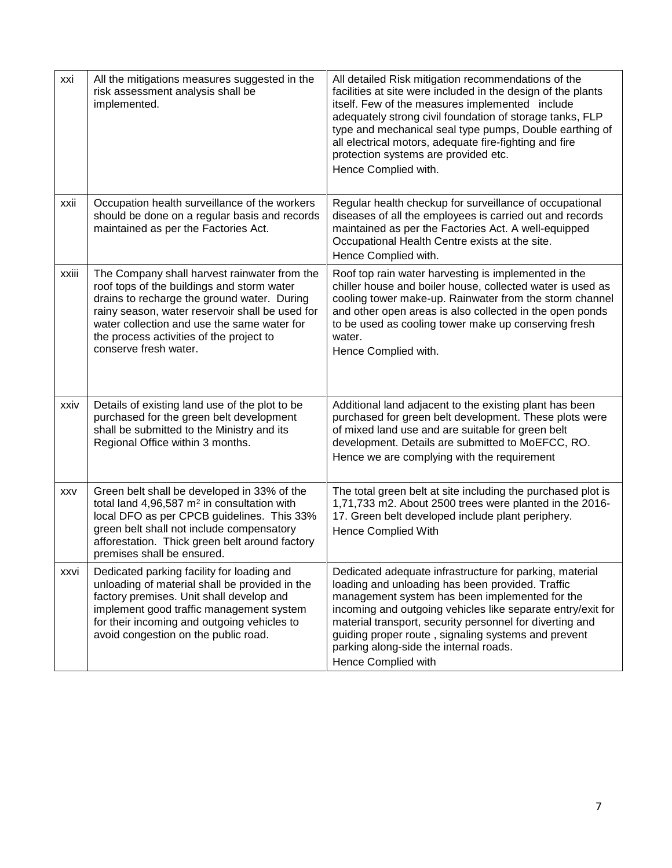| xxi        | All the mitigations measures suggested in the<br>risk assessment analysis shall be<br>implemented.                                                                                                                                                                                                               | All detailed Risk mitigation recommendations of the<br>facilities at site were included in the design of the plants<br>itself. Few of the measures implemented include<br>adequately strong civil foundation of storage tanks, FLP<br>type and mechanical seal type pumps, Double earthing of<br>all electrical motors, adequate fire-fighting and fire<br>protection systems are provided etc.<br>Hence Complied with. |
|------------|------------------------------------------------------------------------------------------------------------------------------------------------------------------------------------------------------------------------------------------------------------------------------------------------------------------|-------------------------------------------------------------------------------------------------------------------------------------------------------------------------------------------------------------------------------------------------------------------------------------------------------------------------------------------------------------------------------------------------------------------------|
| xxii       | Occupation health surveillance of the workers<br>should be done on a regular basis and records<br>maintained as per the Factories Act.                                                                                                                                                                           | Regular health checkup for surveillance of occupational<br>diseases of all the employees is carried out and records<br>maintained as per the Factories Act. A well-equipped<br>Occupational Health Centre exists at the site.<br>Hence Complied with.                                                                                                                                                                   |
| xxiii      | The Company shall harvest rainwater from the<br>roof tops of the buildings and storm water<br>drains to recharge the ground water. During<br>rainy season, water reservoir shall be used for<br>water collection and use the same water for<br>the process activities of the project to<br>conserve fresh water. | Roof top rain water harvesting is implemented in the<br>chiller house and boiler house, collected water is used as<br>cooling tower make-up. Rainwater from the storm channel<br>and other open areas is also collected in the open ponds<br>to be used as cooling tower make up conserving fresh<br>water.<br>Hence Complied with.                                                                                     |
| xxiv       | Details of existing land use of the plot to be<br>purchased for the green belt development<br>shall be submitted to the Ministry and its<br>Regional Office within 3 months.                                                                                                                                     | Additional land adjacent to the existing plant has been<br>purchased for green belt development. These plots were<br>of mixed land use and are suitable for green belt<br>development. Details are submitted to MoEFCC, RO.<br>Hence we are complying with the requirement                                                                                                                                              |
| <b>XXV</b> | Green belt shall be developed in 33% of the<br>total land 4,96,587 $m2$ in consultation with<br>local DFO as per CPCB guidelines. This 33%<br>green belt shall not include compensatory<br>afforestation. Thick green belt around factory<br>premises shall be ensured.                                          | The total green belt at site including the purchased plot is<br>1,71,733 m2. About 2500 trees were planted in the 2016-<br>17. Green belt developed include plant periphery.<br><b>Hence Complied With</b>                                                                                                                                                                                                              |
| xxvi       | Dedicated parking facility for loading and<br>unloading of material shall be provided in the<br>factory premises. Unit shall develop and<br>implement good traffic management system<br>for their incoming and outgoing vehicles to<br>avoid congestion on the public road.                                      | Dedicated adequate infrastructure for parking, material<br>loading and unloading has been provided. Traffic<br>management system has been implemented for the<br>incoming and outgoing vehicles like separate entry/exit for<br>material transport, security personnel for diverting and<br>guiding proper route, signaling systems and prevent<br>parking along-side the internal roads.<br>Hence Complied with        |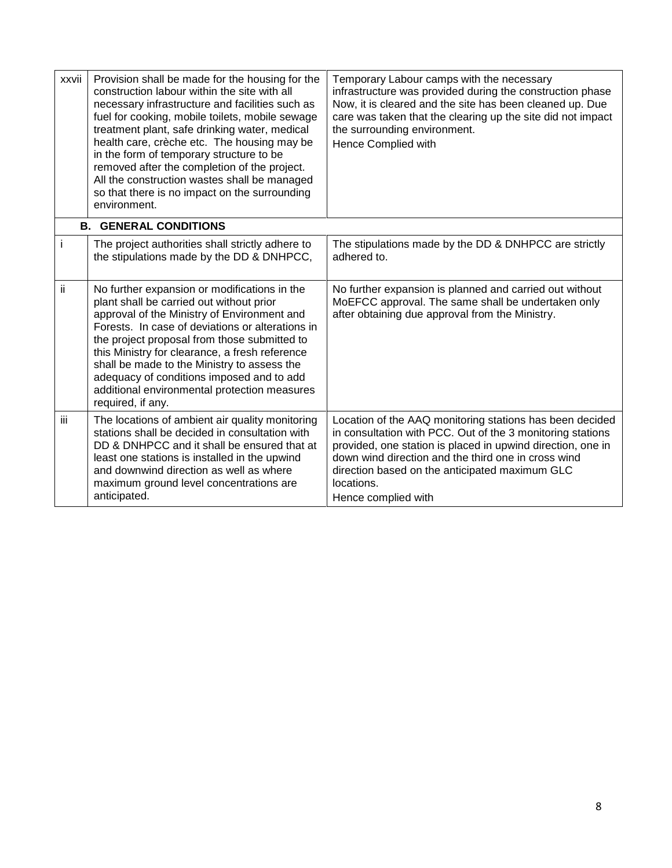| xxvii | Provision shall be made for the housing for the<br>construction labour within the site with all<br>necessary infrastructure and facilities such as<br>fuel for cooking, mobile toilets, mobile sewage<br>treatment plant, safe drinking water, medical<br>health care, crèche etc. The housing may be<br>in the form of temporary structure to be<br>removed after the completion of the project.<br>All the construction wastes shall be managed<br>so that there is no impact on the surrounding<br>environment. | Temporary Labour camps with the necessary<br>infrastructure was provided during the construction phase<br>Now, it is cleared and the site has been cleaned up. Due<br>care was taken that the clearing up the site did not impact<br>the surrounding environment.<br>Hence Complied with                                            |
|-------|--------------------------------------------------------------------------------------------------------------------------------------------------------------------------------------------------------------------------------------------------------------------------------------------------------------------------------------------------------------------------------------------------------------------------------------------------------------------------------------------------------------------|-------------------------------------------------------------------------------------------------------------------------------------------------------------------------------------------------------------------------------------------------------------------------------------------------------------------------------------|
|       | <b>B. GENERAL CONDITIONS</b>                                                                                                                                                                                                                                                                                                                                                                                                                                                                                       |                                                                                                                                                                                                                                                                                                                                     |
| i.    | The project authorities shall strictly adhere to<br>the stipulations made by the DD & DNHPCC,                                                                                                                                                                                                                                                                                                                                                                                                                      | The stipulations made by the DD & DNHPCC are strictly<br>adhered to.                                                                                                                                                                                                                                                                |
| ii.   | No further expansion or modifications in the<br>plant shall be carried out without prior<br>approval of the Ministry of Environment and<br>Forests. In case of deviations or alterations in<br>the project proposal from those submitted to<br>this Ministry for clearance, a fresh reference<br>shall be made to the Ministry to assess the<br>adequacy of conditions imposed and to add<br>additional environmental protection measures<br>required, if any.                                                     | No further expansion is planned and carried out without<br>MoEFCC approval. The same shall be undertaken only<br>after obtaining due approval from the Ministry.                                                                                                                                                                    |
| iii.  | The locations of ambient air quality monitoring<br>stations shall be decided in consultation with<br>DD & DNHPCC and it shall be ensured that at<br>least one stations is installed in the upwind<br>and downwind direction as well as where<br>maximum ground level concentrations are<br>anticipated.                                                                                                                                                                                                            | Location of the AAQ monitoring stations has been decided<br>in consultation with PCC. Out of the 3 monitoring stations<br>provided, one station is placed in upwind direction, one in<br>down wind direction and the third one in cross wind<br>direction based on the anticipated maximum GLC<br>locations.<br>Hence complied with |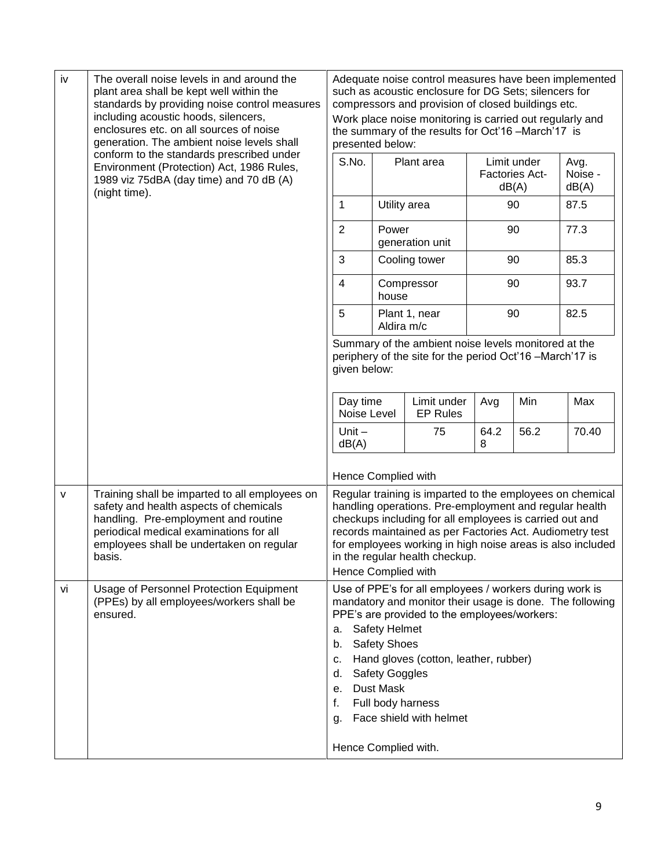| iv           | The overall noise levels in and around the<br>plant area shall be kept well within the<br>standards by providing noise control measures<br>including acoustic hoods, silencers,<br>enclosures etc. on all sources of noise<br>generation. The ambient noise levels shall | presented below:                                                                                                                                                                                                                                                                                                                                                  |                                                                                   | Adequate noise control measures have been implemented<br>such as acoustic enclosure for DG Sets; silencers for<br>compressors and provision of closed buildings etc.<br>Work place noise monitoring is carried out regularly and<br>the summary of the results for Oct'16 -March'17 is |           |                                               |                          |
|--------------|--------------------------------------------------------------------------------------------------------------------------------------------------------------------------------------------------------------------------------------------------------------------------|-------------------------------------------------------------------------------------------------------------------------------------------------------------------------------------------------------------------------------------------------------------------------------------------------------------------------------------------------------------------|-----------------------------------------------------------------------------------|----------------------------------------------------------------------------------------------------------------------------------------------------------------------------------------------------------------------------------------------------------------------------------------|-----------|-----------------------------------------------|--------------------------|
|              | conform to the standards prescribed under<br>Environment (Protection) Act, 1986 Rules,<br>1989 viz 75dBA (day time) and 70 dB (A)<br>(night time).                                                                                                                       | S.No.                                                                                                                                                                                                                                                                                                                                                             |                                                                                   | Plant area                                                                                                                                                                                                                                                                             |           | Limit under<br><b>Factories Act-</b><br>dB(A) | Avg.<br>Noise -<br>dB(A) |
|              |                                                                                                                                                                                                                                                                          | 1                                                                                                                                                                                                                                                                                                                                                                 |                                                                                   | Utility area                                                                                                                                                                                                                                                                           |           | 90                                            | 87.5                     |
|              |                                                                                                                                                                                                                                                                          | $\overline{2}$                                                                                                                                                                                                                                                                                                                                                    | Power                                                                             | generation unit                                                                                                                                                                                                                                                                        |           | 90                                            | 77.3                     |
|              |                                                                                                                                                                                                                                                                          | 3                                                                                                                                                                                                                                                                                                                                                                 |                                                                                   | Cooling tower                                                                                                                                                                                                                                                                          |           | 90                                            | 85.3                     |
|              |                                                                                                                                                                                                                                                                          | $\overline{\mathbf{4}}$                                                                                                                                                                                                                                                                                                                                           | house                                                                             | Compressor                                                                                                                                                                                                                                                                             |           | 90                                            | 93.7                     |
|              |                                                                                                                                                                                                                                                                          | 5                                                                                                                                                                                                                                                                                                                                                                 | Aldira m/c                                                                        | Plant 1, near                                                                                                                                                                                                                                                                          |           | 90                                            | 82.5                     |
|              |                                                                                                                                                                                                                                                                          |                                                                                                                                                                                                                                                                                                                                                                   | given below:                                                                      | Summary of the ambient noise levels monitored at the<br>periphery of the site for the period Oct'16 -March'17 is                                                                                                                                                                       |           |                                               |                          |
|              |                                                                                                                                                                                                                                                                          | Day time<br>Noise Level                                                                                                                                                                                                                                                                                                                                           |                                                                                   | Limit under<br><b>EP Rules</b>                                                                                                                                                                                                                                                         | Avg       | Min                                           | Max                      |
|              |                                                                                                                                                                                                                                                                          | Unit $-$<br>dB(A)                                                                                                                                                                                                                                                                                                                                                 |                                                                                   | 75                                                                                                                                                                                                                                                                                     | 64.2<br>8 | 56.2                                          | 70.40                    |
|              |                                                                                                                                                                                                                                                                          | Hence Complied with                                                                                                                                                                                                                                                                                                                                               |                                                                                   |                                                                                                                                                                                                                                                                                        |           |                                               |                          |
| $\mathsf{V}$ | Training shall be imparted to all employees on<br>safety and health aspects of chemicals<br>handling. Pre-employment and routine<br>periodical medical examinations for all<br>employees shall be undertaken on regular<br>basis.                                        | Regular training is imparted to the employees on chemical<br>handling operations. Pre-employment and regular health<br>checkups including for all employees is carried out and<br>records maintained as per Factories Act. Audiometry test<br>for employees working in high noise areas is also included<br>in the regular health checkup.<br>Hence Complied with |                                                                                   |                                                                                                                                                                                                                                                                                        |           |                                               |                          |
| vi           | Usage of Personnel Protection Equipment<br>(PPEs) by all employees/workers shall be<br>ensured.                                                                                                                                                                          | a.<br>b.<br>c.<br>d.<br>е.<br>f.<br>g.<br>Hence Complied with.                                                                                                                                                                                                                                                                                                    | <b>Safety Helmet</b><br><b>Safety Shoes</b><br><b>Safety Goggles</b><br>Dust Mask | Use of PPE's for all employees / workers during work is<br>mandatory and monitor their usage is done. The following<br>PPE's are provided to the employees/workers:<br>Hand gloves (cotton, leather, rubber)<br>Full body harness<br>Face shield with helmet                           |           |                                               |                          |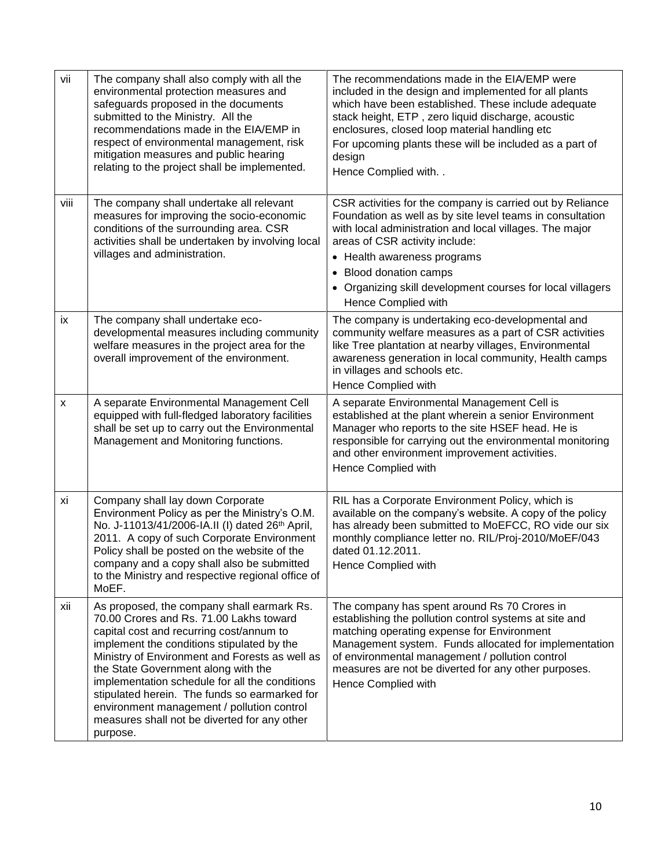| vii          | The company shall also comply with all the<br>environmental protection measures and<br>safeguards proposed in the documents<br>submitted to the Ministry. All the<br>recommendations made in the EIA/EMP in<br>respect of environmental management, risk<br>mitigation measures and public hearing<br>relating to the project shall be implemented.                                                                                                                                   | The recommendations made in the EIA/EMP were<br>included in the design and implemented for all plants<br>which have been established. These include adequate<br>stack height, ETP, zero liquid discharge, acoustic<br>enclosures, closed loop material handling etc<br>For upcoming plants these will be included as a part of<br>design<br>Hence Complied with   |
|--------------|---------------------------------------------------------------------------------------------------------------------------------------------------------------------------------------------------------------------------------------------------------------------------------------------------------------------------------------------------------------------------------------------------------------------------------------------------------------------------------------|-------------------------------------------------------------------------------------------------------------------------------------------------------------------------------------------------------------------------------------------------------------------------------------------------------------------------------------------------------------------|
| viii         | The company shall undertake all relevant<br>measures for improving the socio-economic<br>conditions of the surrounding area. CSR<br>activities shall be undertaken by involving local<br>villages and administration.                                                                                                                                                                                                                                                                 | CSR activities for the company is carried out by Reliance<br>Foundation as well as by site level teams in consultation<br>with local administration and local villages. The major<br>areas of CSR activity include:<br>• Health awareness programs<br>• Blood donation camps<br>• Organizing skill development courses for local villagers<br>Hence Complied with |
| ix           | The company shall undertake eco-<br>developmental measures including community<br>welfare measures in the project area for the<br>overall improvement of the environment.                                                                                                                                                                                                                                                                                                             | The company is undertaking eco-developmental and<br>community welfare measures as a part of CSR activities<br>like Tree plantation at nearby villages, Environmental<br>awareness generation in local community, Health camps<br>in villages and schools etc.<br>Hence Complied with                                                                              |
| $\mathsf{x}$ | A separate Environmental Management Cell<br>equipped with full-fledged laboratory facilities<br>shall be set up to carry out the Environmental<br>Management and Monitoring functions.                                                                                                                                                                                                                                                                                                | A separate Environmental Management Cell is<br>established at the plant wherein a senior Environment<br>Manager who reports to the site HSEF head. He is<br>responsible for carrying out the environmental monitoring<br>and other environment improvement activities.<br>Hence Complied with                                                                     |
| xi           | Company shall lay down Corporate<br>Environment Policy as per the Ministry's O.M.<br>No. J-11013/41/2006-IA.II (I) dated 26th April,<br>2011. A copy of such Corporate Environment<br>Policy shall be posted on the website of the<br>company and a copy shall also be submitted<br>to the Ministry and respective regional office of<br>MoEF.                                                                                                                                        | RIL has a Corporate Environment Policy, which is<br>available on the company's website. A copy of the policy<br>has already been submitted to MoEFCC, RO vide our six<br>monthly compliance letter no. RIL/Proj-2010/MoEF/043<br>dated 01.12.2011.<br>Hence Complied with                                                                                         |
| xii          | As proposed, the company shall earmark Rs.<br>70.00 Crores and Rs. 71.00 Lakhs toward<br>capital cost and recurring cost/annum to<br>implement the conditions stipulated by the<br>Ministry of Environment and Forests as well as<br>the State Government along with the<br>implementation schedule for all the conditions<br>stipulated herein. The funds so earmarked for<br>environment management / pollution control<br>measures shall not be diverted for any other<br>purpose. | The company has spent around Rs 70 Crores in<br>establishing the pollution control systems at site and<br>matching operating expense for Environment<br>Management system. Funds allocated for implementation<br>of environmental management / pollution control<br>measures are not be diverted for any other purposes.<br>Hence Complied with                   |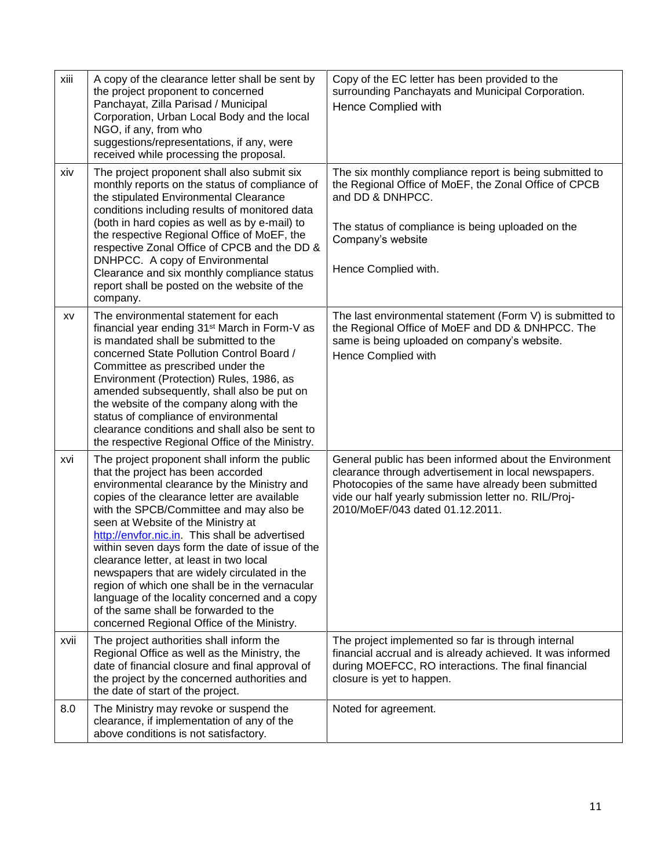| xiii | A copy of the clearance letter shall be sent by<br>the project proponent to concerned<br>Panchayat, Zilla Parisad / Municipal<br>Corporation, Urban Local Body and the local<br>NGO, if any, from who<br>suggestions/representations, if any, were<br>received while processing the proposal.                                                                                                                                                                                                                                                                                                                                                                 | Copy of the EC letter has been provided to the<br>surrounding Panchayats and Municipal Corporation.<br>Hence Complied with                                                                                                                                       |
|------|---------------------------------------------------------------------------------------------------------------------------------------------------------------------------------------------------------------------------------------------------------------------------------------------------------------------------------------------------------------------------------------------------------------------------------------------------------------------------------------------------------------------------------------------------------------------------------------------------------------------------------------------------------------|------------------------------------------------------------------------------------------------------------------------------------------------------------------------------------------------------------------------------------------------------------------|
| xiv  | The project proponent shall also submit six<br>monthly reports on the status of compliance of<br>the stipulated Environmental Clearance<br>conditions including results of monitored data<br>(both in hard copies as well as by e-mail) to<br>the respective Regional Office of MoEF, the<br>respective Zonal Office of CPCB and the DD &<br>DNHPCC. A copy of Environmental<br>Clearance and six monthly compliance status<br>report shall be posted on the website of the<br>company.                                                                                                                                                                       | The six monthly compliance report is being submitted to<br>the Regional Office of MoEF, the Zonal Office of CPCB<br>and DD & DNHPCC.<br>The status of compliance is being uploaded on the<br>Company's website<br>Hence Complied with.                           |
| XV   | The environmental statement for each<br>financial year ending 31 <sup>st</sup> March in Form-V as<br>is mandated shall be submitted to the<br>concerned State Pollution Control Board /<br>Committee as prescribed under the<br>Environment (Protection) Rules, 1986, as<br>amended subsequently, shall also be put on<br>the website of the company along with the<br>status of compliance of environmental<br>clearance conditions and shall also be sent to<br>the respective Regional Office of the Ministry.                                                                                                                                             | The last environmental statement (Form V) is submitted to<br>the Regional Office of MoEF and DD & DNHPCC. The<br>same is being uploaded on company's website.<br>Hence Complied with                                                                             |
| xvi  | The project proponent shall inform the public<br>that the project has been accorded<br>environmental clearance by the Ministry and<br>copies of the clearance letter are available<br>with the SPCB/Committee and may also be<br>seen at Website of the Ministry at<br>http://envfor.nic.in. This shall be advertised<br>within seven days form the date of issue of the<br>clearance letter, at least in two local<br>newspapers that are widely circulated in the<br>region of which one shall be in the vernacular<br>language of the locality concerned and a copy<br>of the same shall be forwarded to the<br>concerned Regional Office of the Ministry. | General public has been informed about the Environment<br>clearance through advertisement in local newspapers.<br>Photocopies of the same have already been submitted<br>vide our half yearly submission letter no. RIL/Proj-<br>2010/MoEF/043 dated 01.12.2011. |
| xvii | The project authorities shall inform the<br>Regional Office as well as the Ministry, the<br>date of financial closure and final approval of<br>the project by the concerned authorities and<br>the date of start of the project.                                                                                                                                                                                                                                                                                                                                                                                                                              | The project implemented so far is through internal<br>financial accrual and is already achieved. It was informed<br>during MOEFCC, RO interactions. The final financial<br>closure is yet to happen.                                                             |
| 8.0  | The Ministry may revoke or suspend the<br>clearance, if implementation of any of the<br>above conditions is not satisfactory.                                                                                                                                                                                                                                                                                                                                                                                                                                                                                                                                 | Noted for agreement.                                                                                                                                                                                                                                             |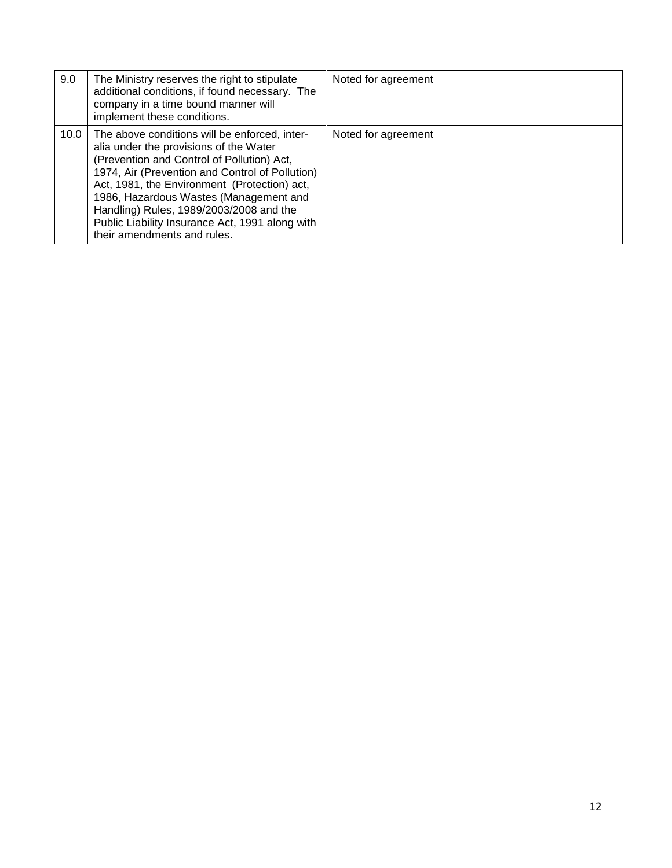| 9.0  | The Ministry reserves the right to stipulate<br>additional conditions, if found necessary. The<br>company in a time bound manner will<br>implement these conditions.                                                                                                                                                                                                                                            | Noted for agreement |
|------|-----------------------------------------------------------------------------------------------------------------------------------------------------------------------------------------------------------------------------------------------------------------------------------------------------------------------------------------------------------------------------------------------------------------|---------------------|
| 10.0 | The above conditions will be enforced, inter-<br>alia under the provisions of the Water<br>(Prevention and Control of Pollution) Act,<br>1974, Air (Prevention and Control of Pollution)<br>Act, 1981, the Environment (Protection) act,<br>1986, Hazardous Wastes (Management and<br>Handling) Rules, 1989/2003/2008 and the<br>Public Liability Insurance Act, 1991 along with<br>their amendments and rules. | Noted for agreement |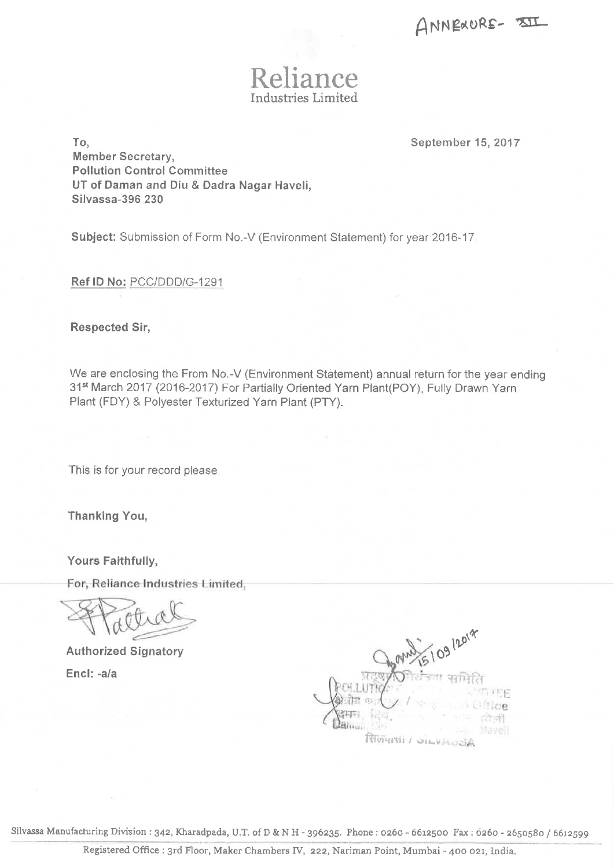ANNEXURE-35II



September 15, 2017

To. **Member Secretary, Pollution Control Committee** UT of Daman and Diu & Dadra Nagar Haveli, **Silvassa-396 230** 

Subject: Submission of Form No.-V (Environment Statement) for year 2016-17

Ref ID No: PCC/DDD/G-1291

**Respected Sir,** 

We are enclosing the From No.-V (Environment Statement) annual return for the year ending 31st March 2017 (2016-2017) For Partially Oriented Yarn Plant(POY), Fully Drawn Yarn Plant (FDY) & Polyester Texturized Yarn Plant (PTY).

This is for your record please

**Thanking You,** 

Yours Faithfully,

For, Reliance Industries Limited,

**Authorized Signatory** Encl: -a/a



Silvassa Manufacturing Division: 342, Kharadpada, U.T. of D & N H - 396235. Phone: 0260 - 6612500 Fax: 0260 - 2650580 / 6612599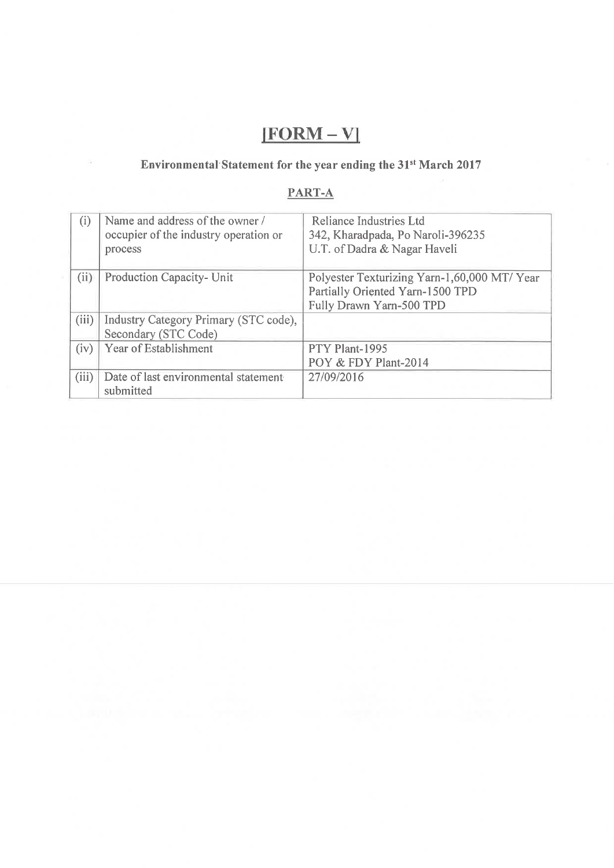## $[FORM - V]$

## Environmental Statement for the year ending the 31<sup>st</sup> March 2017

## PART-A

| (i)   | Name and address of the owner /<br>occupier of the industry operation or<br>process | Reliance Industries Ltd<br>342, Kharadpada, Po Naroli-396235<br>U.T. of Dadra & Nagar Haveli                 |
|-------|-------------------------------------------------------------------------------------|--------------------------------------------------------------------------------------------------------------|
| (ii)  | Production Capacity- Unit                                                           | Polyester Texturizing Yarn-1,60,000 MT/ Year<br>Partially Oriented Yarn-1500 TPD<br>Fully Drawn Yarn-500 TPD |
| (iii) | Industry Category Primary (STC code),<br>Secondary (STC Code)                       |                                                                                                              |
| (iv)  | Year of Establishment                                                               | PTY Plant-1995<br>POY & FDY Plant-2014                                                                       |
| (iii) | Date of last environmental statement<br>submitted                                   | 27/09/2016                                                                                                   |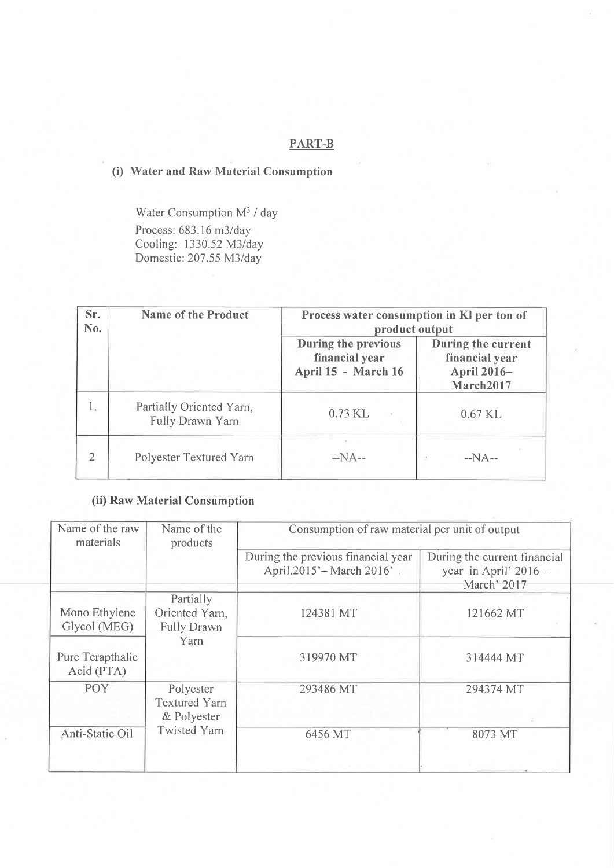#### **PART-B**

## (i) Water and Raw Material Consumption

Water Consumption  $M^3$  / day Process: 683.16 m3/day Cooling: 1330.52 M3/day Domestic: 207.55 M3/day

| Sr.<br>No. | <b>Name of the Product</b>                   | Process water consumption in KI per ton of<br>product output |                                                                  |  |
|------------|----------------------------------------------|--------------------------------------------------------------|------------------------------------------------------------------|--|
|            |                                              | During the previous<br>financial year<br>April 15 - March 16 | During the current<br>financial year<br>April 2016-<br>March2017 |  |
| 1.         | Partially Oriented Yarn,<br>Fully Drawn Yarn | 0.73 KL                                                      | 0.67 KL                                                          |  |
| 2          | Polyester Textured Yarn                      | $-NA-$                                                       | $-NA-$<br>(2)                                                    |  |

### (ii) Raw Material Consumption

| Name of the raw<br>materials   | Name of the<br>products                           | Consumption of raw material per unit of output                   |                                                                        |  |
|--------------------------------|---------------------------------------------------|------------------------------------------------------------------|------------------------------------------------------------------------|--|
|                                |                                                   | During the previous financial year<br>April.2015' – March 2016'. | During the current financial<br>year in April' $2016 -$<br>March' 2017 |  |
| Mono Ethylene<br>Glycol (MEG)  | Partially<br>Oriented Yarn,<br><b>Fully Drawn</b> | 124381 MT                                                        | 121662 MT                                                              |  |
| Pure Terapthalic<br>Acid (PTA) | Yarn                                              | 319970 MT                                                        | 314444 MT                                                              |  |
| <b>POY</b>                     | Polyester<br><b>Textured Yarn</b><br>& Polyester  | 293486 MT                                                        | 294374 MT                                                              |  |
| Anti-Static Oil                | <b>Twisted Yarn</b>                               | 6456 MT                                                          | 8073 MT                                                                |  |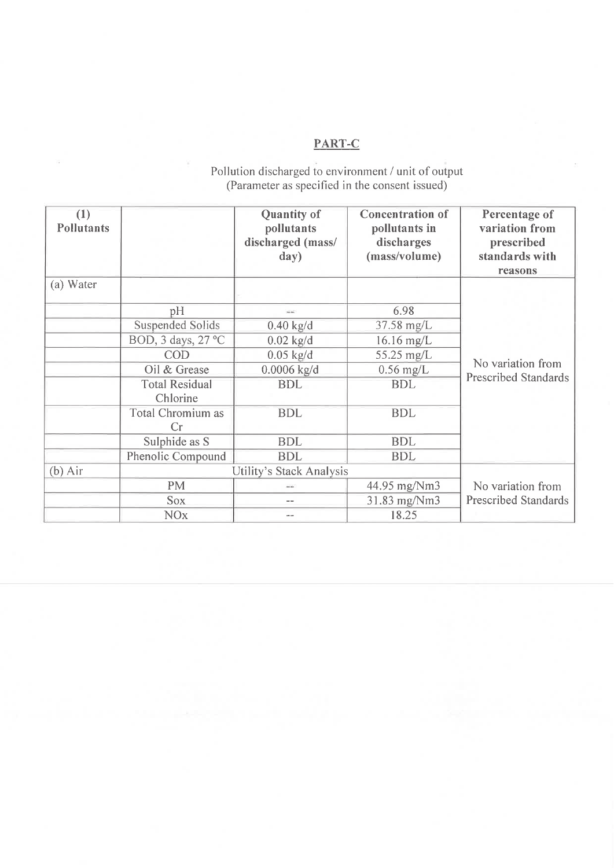## PART-C

Pollution discharged to environment / unit of output<br>(Parameter as specified in the consent issued)

| (1)<br><b>Pollutants</b> |                                   | <b>Quantity of</b><br>pollutants<br>discharged (mass/<br>day) | <b>Concentration of</b><br>pollutants in<br>discharges<br>(mass/volume) | Percentage of<br>variation from<br>prescribed<br>standards with<br>reasons |
|--------------------------|-----------------------------------|---------------------------------------------------------------|-------------------------------------------------------------------------|----------------------------------------------------------------------------|
| (a) Water                |                                   |                                                               |                                                                         |                                                                            |
|                          | pH                                |                                                               | 6.98                                                                    |                                                                            |
|                          | <b>Suspended Solids</b>           | $0.40$ kg/d                                                   | 37.58 mg/L                                                              |                                                                            |
|                          | BOD, 3 days, 27 °C                | $0.02$ kg/d                                                   | $16.16$ mg/L                                                            |                                                                            |
|                          | COD                               | $0.05$ kg/d                                                   | 55.25 mg/L                                                              |                                                                            |
|                          | Oil & Grease                      | $0.0006$ kg/d                                                 | $0.56$ mg/L                                                             | No variation from                                                          |
|                          | <b>Total Residual</b><br>Chlorine | <b>BDL</b>                                                    | <b>BDL</b>                                                              | <b>Prescribed Standards</b>                                                |
|                          | Total Chromium as<br>Cr           | <b>BDL</b>                                                    | <b>BDL</b>                                                              |                                                                            |
|                          | Sulphide as S                     | <b>BDL</b>                                                    | <b>BDL</b>                                                              |                                                                            |
|                          | Phenolic Compound                 | <b>BDL</b>                                                    | <b>BDL</b>                                                              |                                                                            |
| $(b)$ Air                |                                   | Utility's Stack Analysis                                      |                                                                         |                                                                            |
|                          | PM                                | $-1$                                                          | 44.95 mg/Nm3                                                            | No variation from                                                          |
|                          | <b>Sox</b>                        | $- -$                                                         | 31.83 mg/Nm3                                                            | <b>Prescribed Standards</b>                                                |
|                          | <b>NO<sub>x</sub></b>             | $\sim$ $-$                                                    | 18.25                                                                   |                                                                            |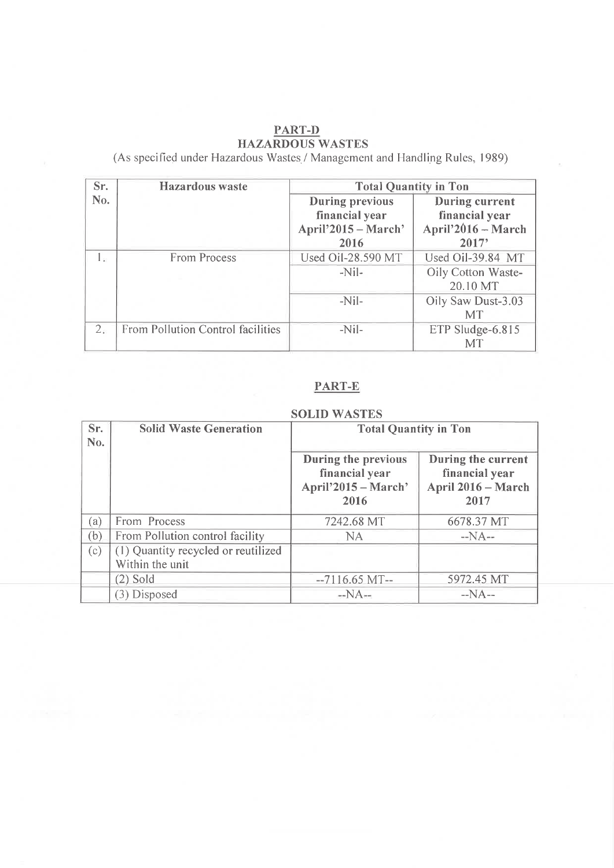# PART-D<br>HAZARDOUS WASTES

(As specified under Hazardous Wastes / Management and Handling Rules, 1989)

| Sr.            | <b>Hazardous</b> waste            | <b>Total Quantity in Ton</b> |                       |  |
|----------------|-----------------------------------|------------------------------|-----------------------|--|
| No.            |                                   | <b>During previous</b>       | <b>During current</b> |  |
|                |                                   | financial year               | financial year        |  |
|                |                                   | April'2015 – March'          | April'2016 - March    |  |
|                |                                   | 2016                         | 2017'                 |  |
| 1.             | <b>From Process</b>               | Used Oil-28.590 MT           | Used Oil-39.84 MT     |  |
|                |                                   | $-NiL$                       | Oily Cotton Waste-    |  |
|                |                                   |                              | 20.10 MT              |  |
|                |                                   | $-Nil-$                      | Oily Saw Dust-3.03    |  |
|                |                                   |                              | <b>MT</b>             |  |
| 2 <sub>e</sub> | From Pollution Control facilities | $-Nil-$                      | ETP Sludge-6.815      |  |
|                |                                   |                              | МT                    |  |

## PART-E

| Sr.<br>No. | <b>Solid Waste Generation</b>                          | <b>Total Quantity in Ton</b>                                         |                                                                    |  |
|------------|--------------------------------------------------------|----------------------------------------------------------------------|--------------------------------------------------------------------|--|
|            |                                                        | During the previous<br>financial year<br>April'2015 – March'<br>2016 | During the current<br>financial year<br>April 2016 - March<br>2017 |  |
| (a)        | From Process                                           | 7242.68 MT                                                           | 6678.37 MT                                                         |  |
| (b)        | From Pollution control facility                        | NA.                                                                  | $-NA-$                                                             |  |
| (c)        | (1) Quantity recycled or reutilized<br>Within the unit |                                                                      |                                                                    |  |
|            | $(2)$ Sold                                             | $-7116.65$ MT $-$                                                    | 5972.45 MT                                                         |  |
|            | (3) Disposed                                           | $-NA-$                                                               | $-NA-$                                                             |  |

#### **SOLID WASTES**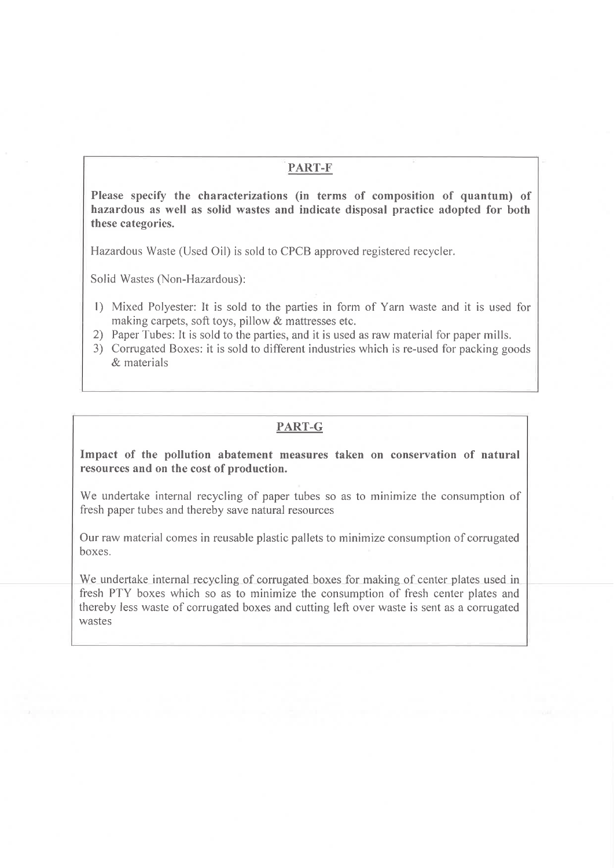#### PART-F

Please specify the characterizations (in terms of composition of quantum) of hazardous as well as solid wastes and indicate disposal practice adopted for both these categories.

Hazardous Waste (Used Oil) is sold to CPCB approved registered recycler.

Solid Wastes (Non-Hazardous):

- 1) Mixed Polyester: It is sold to the parties in form of Yarn waste and it is used for making carpets, soft toys, pillow & mattresses etc.
- 2) Paper Tubes: It is sold to the parties, and it is used as raw material for paper mills.
- 3) Corrugated Boxes: it is sold to different industries which is re-used for packing goods  $\&$  materials

#### PART-G

Impact of the pollution abatement measures taken on conservation of natural resources and on the cost of production.

We undertake internal recycling of paper tubes so as to minimize the consumption of fresh paper tubes and thereby save natural resources

Our raw material comes in reusable plastic pallets to minimize consumption of corrugated hoxes.

We undertake internal recycling of corrugated boxes for making of center plates used in fresh PTY boxes which so as to minimize the consumption of fresh center plates and thereby less waste of corrugated boxes and cutting left over waste is sent as a corrugated wastes